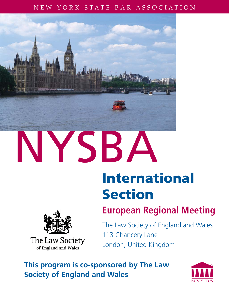## NEW YORK STATE BAR ASSOCIATION



# **International Section**



**The Law Society** of England and Wales

# **European Regional Meeting**

The Law Society of England and Wales 113 Chancery Lane London, United Kingdom

**This program is co-sponsored by The Law Society of England and Wales**

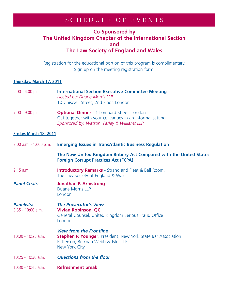# SCHEDULE OF EVENTS

### **Co-Sponsored by The United Kingdom Chapter of the International Section and The Law Society of England and Wales**

Registration for the educational portion of this program is complimentary. Sign up on the meeting registration form.

#### **Thursday, March 17, 2011**

| $2:00 - 4:00$ p.m.                       | <b>International Section Executive Committee Meeting</b><br>Hosted by: Duane Morris LLP<br>10 Chiswell Street, 2nd Floor, London                               |
|------------------------------------------|----------------------------------------------------------------------------------------------------------------------------------------------------------------|
| $7:00 - 9:00 p.m.$                       | <b>Optional Dinner</b> - 1 Lombard Street, London<br>Get together with your colleagues in an informal setting.<br>Sponsored by: Watson, Farley & Williams LLP  |
| Friday, March 18, 2011                   |                                                                                                                                                                |
| $9:00$ a.m. - 12:00 p.m.                 | <b>Emerging Issues in TransAtlantic Business Regulation</b>                                                                                                    |
|                                          | The New United Kingdom Bribery Act Compared with the United States<br><b>Foreign Corrupt Practices Act (FCPA)</b>                                              |
| $9:15$ a.m.                              | <b>Introductory Remarks</b> - Strand and Fleet & Bell Room,<br>The Law Society of England & Wales                                                              |
| <b>Panel Chair:</b>                      | <b>Jonathan P. Armstrong</b><br><b>Duane Morris LLP</b><br>London                                                                                              |
| <b>Panelists:</b><br>$9:35 - 10:00$ a.m. | <b>The Prosecutor's View</b><br><b>Vivian Robinson, QC</b><br>General Counsel, United Kingdom Serious Fraud Office<br>London                                   |
| $10:00 - 10:25$ a.m.                     | <b>View from the Frontline</b><br><b>Stephen P. Younger, President, New York State Bar Association</b><br>Patterson, Belknap Webb & Tyler LLP<br>New York City |
| $10:25 - 10:30$ a.m.                     | <b>Questions from the floor</b>                                                                                                                                |
| 10:30 - 10:45 a.m.                       | <b>Refreshment break</b>                                                                                                                                       |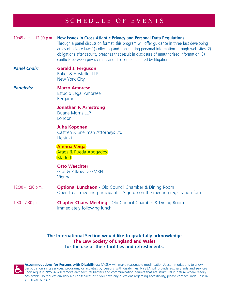# SCHEDULE OF EVENTS

#### 10:45 a.m. - 12:00 p.m. **New Issues in Cross-Atlantic Privacy and Personal Data Regulations**

Through a panel discussion format, this program will offer guidance in three fast developing areas of privacy law: 1) collecting and transmitting personal information through web sites; 2) obligations after security breaches that result in disclosure of unauthorized information; 3) conflicts between privacy rules and disclosures required by litigation.

#### *Panel Chair:* **Gerald J. Ferguson** Baker & Hostetler LLP New York City

#### *Panelists:* **Marco Amorese** Estudio Legal Amorese Bergamo

 **Jonathan P. Armstrong** Duane Morris LLP London

#### **Juha Koponen** Castrén & Snellman Attorneys Ltd Helsinki

 **Ainhoa Veiga** Araoz & Rueda Abogados **Madrid** 

#### **Otto Waechter** Graf & Pitkowitz GMBH Vienna

- 12:00 1:30 p.m. **Optional Luncheon** Old Council Chamber & Dining Room Open to all meeting participants. Sign up on the meeting registration form.
- 1:30 2:30 p.m. **Chapter Chairs Meeting** Old Council Chamber & Dining Room Immediately following lunch.

#### **The International Section would like to gratefully acknowledge The Law Society of England and Wales for the use of their facilities and refreshments.**



**Accommodations for Persons with Disabilities:** NYSBA will make reasonable modifications/accommodations to allow participation in its services, programs, or activities by persons with disabilities. NYSBA will provide auxiliary aids and services upon request. NYSBA will remove architectural barriers and communication barriers that are structural in nature where readily achievable. To request auxiliary aids or services or if you have any questions regarding accessibility, please contact Linda Castilla at 518-487-5562.